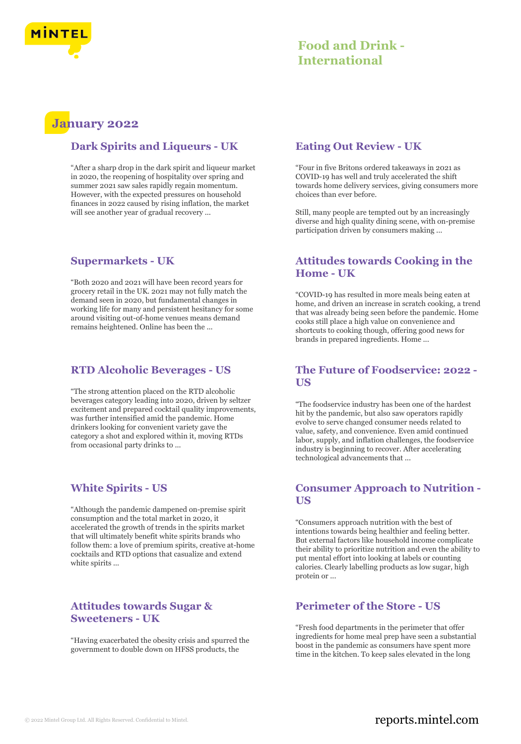

# **January 2022**

# **Dark Spirits and Liqueurs - UK**

"After a sharp drop in the dark spirit and liqueur market in 2020, the reopening of hospitality over spring and summer 2021 saw sales rapidly regain momentum. However, with the expected pressures on household finances in 2022 caused by rising inflation, the market will see another year of gradual recovery ...

# **Supermarkets - UK**

"Both 2020 and 2021 will have been record years for grocery retail in the UK. 2021 may not fully match the demand seen in 2020, but fundamental changes in working life for many and persistent hesitancy for some around visiting out-of-home venues means demand remains heightened. Online has been the ...

# **RTD Alcoholic Beverages - US**

"The strong attention placed on the RTD alcoholic beverages category leading into 2020, driven by seltzer excitement and prepared cocktail quality improvements, was further intensified amid the pandemic. Home drinkers looking for convenient variety gave the category a shot and explored within it, moving RTDs from occasional party drinks to ...

# **White Spirits - US**

"Although the pandemic dampened on-premise spirit consumption and the total market in 2020, it accelerated the growth of trends in the spirits market that will ultimately benefit white spirits brands who follow them: a love of premium spirits, creative at-home cocktails and RTD options that casualize and extend white spirits ...

# **Attitudes towards Sugar & Sweeteners - UK**

"Having exacerbated the obesity crisis and spurred the government to double down on HFSS products, the

# **Eating Out Review - UK**

"Four in five Britons ordered takeaways in 2021 as COVID-19 has well and truly accelerated the shift towards home delivery services, giving consumers more choices than ever before.

Still, many people are tempted out by an increasingly diverse and high quality dining scene, with on-premise participation driven by consumers making ...

# **Attitudes towards Cooking in the Home - UK**

"COVID-19 has resulted in more meals being eaten at home, and driven an increase in scratch cooking, a trend that was already being seen before the pandemic. Home cooks still place a high value on convenience and shortcuts to cooking though, offering good news for brands in prepared ingredients. Home ...

# **The Future of Foodservice: 2022 - US**

"The foodservice industry has been one of the hardest hit by the pandemic, but also saw operators rapidly evolve to serve changed consumer needs related to value, safety, and convenience. Even amid continued labor, supply, and inflation challenges, the foodservice industry is beginning to recover. After accelerating technological advancements that ...

# **Consumer Approach to Nutrition - US**

"Consumers approach nutrition with the best of intentions towards being healthier and feeling better. But external factors like household income complicate their ability to prioritize nutrition and even the ability to put mental effort into looking at labels or counting calories. Clearly labelling products as low sugar, high protein or ...

# **Perimeter of the Store - US**

"Fresh food departments in the perimeter that offer ingredients for home meal prep have seen a substantial boost in the pandemic as consumers have spent more time in the kitchen. To keep sales elevated in the long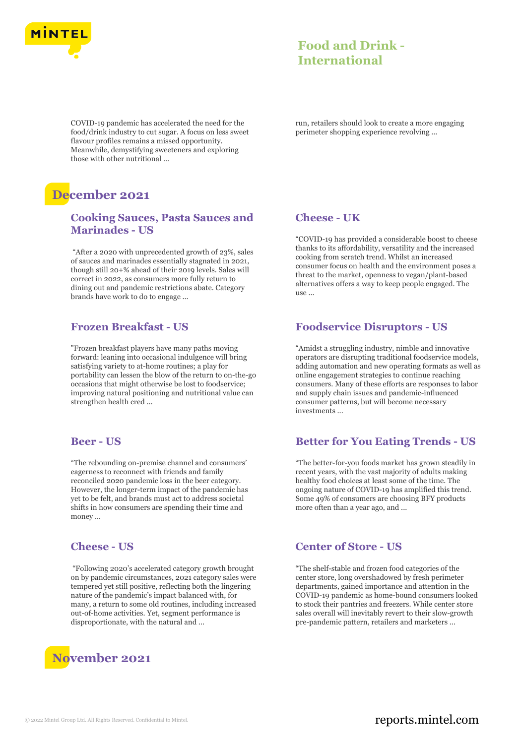

COVID-19 pandemic has accelerated the need for the food/drink industry to cut sugar. A focus on less sweet flavour profiles remains a missed opportunity. Meanwhile, demystifying sweeteners and exploring those with other nutritional ...

# **December 2021**

# **Cooking Sauces, Pasta Sauces and Marinades - US**

"After a 2020 with unprecedented growth of 23%, sales of sauces and marinades essentially stagnated in 2021, though still 20+% ahead of their 2019 levels. Sales will correct in 2022, as consumers more fully return to dining out and pandemic restrictions abate. Category brands have work to do to engage ...

### **Frozen Breakfast - US**

"Frozen breakfast players have many paths moving forward: leaning into occasional indulgence will bring satisfying variety to at-home routines; a play for portability can lessen the blow of the return to on-the-go occasions that might otherwise be lost to foodservice; improving natural positioning and nutritional value can strengthen health cred ...

#### **Beer - US**

"The rebounding on-premise channel and consumers' eagerness to reconnect with friends and family reconciled 2020 pandemic loss in the beer category. However, the longer-term impact of the pandemic has yet to be felt, and brands must act to address societal shifts in how consumers are spending their time and money ...

### **Cheese - US**

"Following 2020's accelerated category growth brought on by pandemic circumstances, 2021 category sales were tempered yet still positive, reflecting both the lingering nature of the pandemic's impact balanced with, for many, a return to some old routines, including increased out-of-home activities. Yet, segment performance is disproportionate, with the natural and ...



run, retailers should look to create a more engaging perimeter shopping experience revolving ...

## **Cheese - UK**

"COVID-19 has provided a considerable boost to cheese thanks to its affordability, versatility and the increased cooking from scratch trend. Whilst an increased consumer focus on health and the environment poses a threat to the market, openness to vegan/plant-based alternatives offers a way to keep people engaged. The  $11$ Se $-$ 

# **Foodservice Disruptors - US**

"Amidst a struggling industry, nimble and innovative operators are disrupting traditional foodservice models, adding automation and new operating formats as well as online engagement strategies to continue reaching consumers. Many of these efforts are responses to labor and supply chain issues and pandemic-influenced consumer patterns, but will become necessary investments ...

## **Better for You Eating Trends - US**

"The better-for-you foods market has grown steadily in recent years, with the vast majority of adults making healthy food choices at least some of the time. The ongoing nature of COVID-19 has amplified this trend. Some 49% of consumers are choosing BFY products more often than a year ago, and ...

### **Center of Store - US**

"The shelf-stable and frozen food categories of the center store, long overshadowed by fresh perimeter departments, gained importance and attention in the COVID-19 pandemic as home-bound consumers looked to stock their pantries and freezers. While center store sales overall will inevitably revert to their slow-growth pre-pandemic pattern, retailers and marketers ...

# © 2022 Mintel Group Ltd. All Rights Reserved. Confidential to Mintel.  $\blacksquare$  reports.mintel.com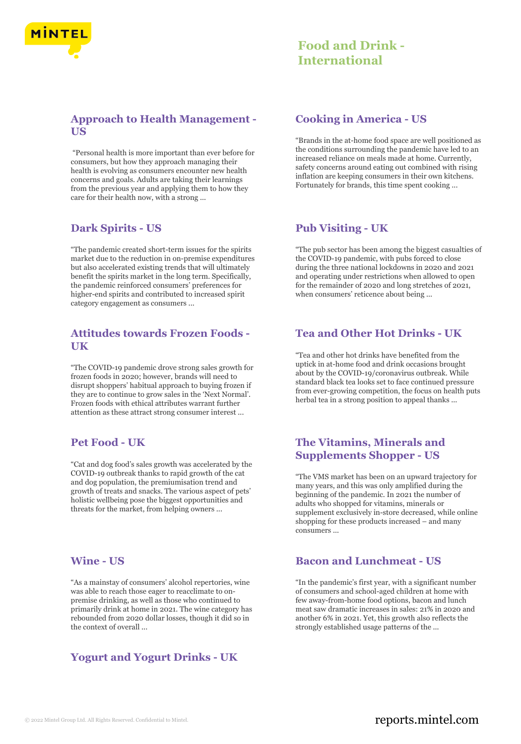

# **Approach to Health Management - US**

"Personal health is more important than ever before for consumers, but how they approach managing their health is evolving as consumers encounter new health concerns and goals. Adults are taking their learnings from the previous year and applying them to how they care for their health now, with a strong ...

### **Dark Spirits - US**

"The pandemic created short-term issues for the spirits market due to the reduction in on-premise expenditures but also accelerated existing trends that will ultimately benefit the spirits market in the long term. Specifically, the pandemic reinforced consumers' preferences for higher-end spirits and contributed to increased spirit category engagement as consumers ...

# **Attitudes towards Frozen Foods - UK**

"The COVID-19 pandemic drove strong sales growth for frozen foods in 2020; however, brands will need to disrupt shoppers' habitual approach to buying frozen if they are to continue to grow sales in the 'Next Normal'. Frozen foods with ethical attributes warrant further attention as these attract strong consumer interest ...

## **Pet Food - UK**

"Cat and dog food's sales growth was accelerated by the COVID-19 outbreak thanks to rapid growth of the cat and dog population, the premiumisation trend and growth of treats and snacks. The various aspect of pets' holistic wellbeing pose the biggest opportunities and threats for the market, from helping owners ...

# **Wine - US**

"As a mainstay of consumers' alcohol repertories, wine was able to reach those eager to reacclimate to onpremise drinking, as well as those who continued to primarily drink at home in 2021. The wine category has rebounded from 2020 dollar losses, though it did so in the context of overall ...

# **Yogurt and Yogurt Drinks - UK**

### **Cooking in America - US**

"Brands in the at-home food space are well positioned as the conditions surrounding the pandemic have led to an increased reliance on meals made at home. Currently, safety concerns around eating out combined with rising inflation are keeping consumers in their own kitchens. Fortunately for brands, this time spent cooking ...

### **Pub Visiting - UK**

"The pub sector has been among the biggest casualties of the COVID-19 pandemic, with pubs forced to close during the three national lockdowns in 2020 and 2021 and operating under restrictions when allowed to open for the remainder of 2020 and long stretches of 2021, when consumers' reticence about being ...

# **Tea and Other Hot Drinks - UK**

"Tea and other hot drinks have benefited from the uptick in at-home food and drink occasions brought about by the COVID-19/coronavirus outbreak. While standard black tea looks set to face continued pressure from ever-growing competition, the focus on health puts herbal tea in a strong position to appeal thanks ...

# **The Vitamins, Minerals and Supplements Shopper - US**

"The VMS market has been on an upward trajectory for many years, and this was only amplified during the beginning of the pandemic. In 2021 the number of adults who shopped for vitamins, minerals or supplement exclusively in-store decreased, while online shopping for these products increased – and many consumers ...

## **Bacon and Lunchmeat - US**

"In the pandemic's first year, with a significant number of consumers and school-aged children at home with few away-from-home food options, bacon and lunch meat saw dramatic increases in sales: 21% in 2020 and another 6% in 2021. Yet, this growth also reflects the strongly established usage patterns of the ...

# © 2022 Mintel Group Ltd. All Rights Reserved. Confidential to Mintel.  $\blacksquare$  reports.mintel.com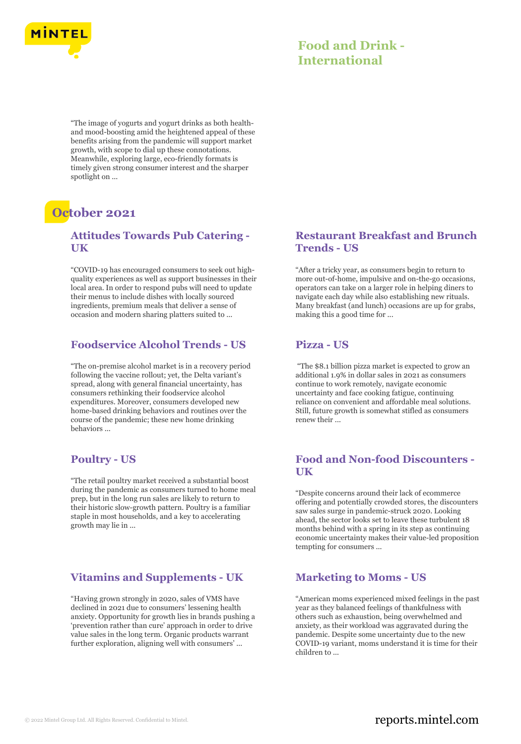

"The image of yogurts and yogurt drinks as both healthand mood-boosting amid the heightened appeal of these benefits arising from the pandemic will support market growth, with scope to dial up these connotations. Meanwhile, exploring large, eco-friendly formats is timely given strong consumer interest and the sharper spotlight on ...

# **October 2021**

# **Attitudes Towards Pub Catering - UK**

"COVID-19 has encouraged consumers to seek out highquality experiences as well as support businesses in their local area. In order to respond pubs will need to update their menus to include dishes with locally sourced ingredients, premium meals that deliver a sense of occasion and modern sharing platters suited to ...

# **Foodservice Alcohol Trends - US**

"The on-premise alcohol market is in a recovery period following the vaccine rollout; yet, the Delta variant's spread, along with general financial uncertainty, has consumers rethinking their foodservice alcohol expenditures. Moreover, consumers developed new home-based drinking behaviors and routines over the course of the pandemic; these new home drinking behaviors ...

# **Poultry - US**

"The retail poultry market received a substantial boost during the pandemic as consumers turned to home meal prep, but in the long run sales are likely to return to their historic slow-growth pattern. Poultry is a familiar staple in most households, and a key to accelerating growth may lie in ...

# **Vitamins and Supplements - UK**

"Having grown strongly in 2020, sales of VMS have declined in 2021 due to consumers' lessening health anxiety. Opportunity for growth lies in brands pushing a 'prevention rather than cure' approach in order to drive value sales in the long term. Organic products warrant further exploration, aligning well with consumers' ...

# **Restaurant Breakfast and Brunch Trends - US**

"After a tricky year, as consumers begin to return to more out-of-home, impulsive and on-the-go occasions, operators can take on a larger role in helping diners to navigate each day while also establishing new rituals. Many breakfast (and lunch) occasions are up for grabs, making this a good time for ...

# **Pizza - US**

"The \$8.1 billion pizza market is expected to grow an additional 1.9% in dollar sales in 2021 as consumers continue to work remotely, navigate economic uncertainty and face cooking fatigue, continuing reliance on convenient and affordable meal solutions. Still, future growth is somewhat stifled as consumers renew their ...

# **Food and Non-food Discounters - UK**

"Despite concerns around their lack of ecommerce offering and potentially crowded stores, the discounters saw sales surge in pandemic-struck 2020. Looking ahead, the sector looks set to leave these turbulent 18 months behind with a spring in its step as continuing economic uncertainty makes their value-led proposition tempting for consumers ...

# **Marketing to Moms - US**

"American moms experienced mixed feelings in the past year as they balanced feelings of thankfulness with others such as exhaustion, being overwhelmed and anxiety, as their workload was aggravated during the pandemic. Despite some uncertainty due to the new COVID-19 variant, moms understand it is time for their children to ...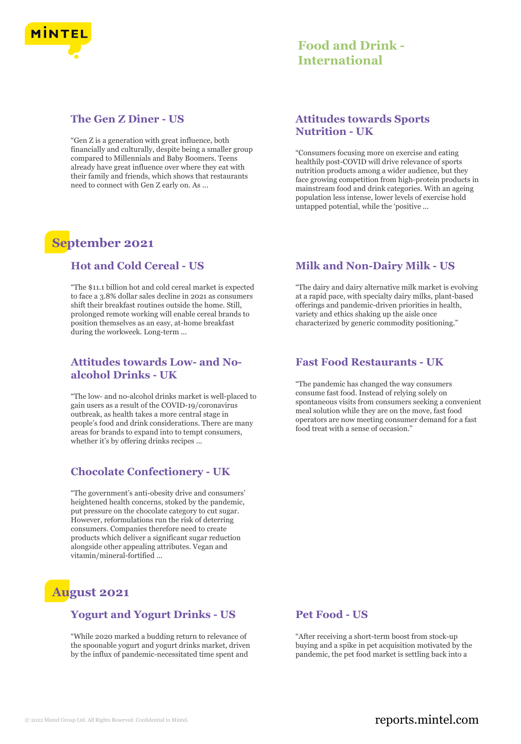

# **The Gen Z Diner - US**

"Gen Z is a generation with great influence, both financially and culturally, despite being a smaller group compared to Millennials and Baby Boomers. Teens already have great influence over where they eat with their family and friends, which shows that restaurants need to connect with Gen Z early on. As ...

# **September 2021**

## **Hot and Cold Cereal - US**

"The \$11.1 billion hot and cold cereal market is expected to face a 3.8% dollar sales decline in 2021 as consumers shift their breakfast routines outside the home. Still, prolonged remote working will enable cereal brands to position themselves as an easy, at-home breakfast during the workweek. Long-term ...

# **Attitudes towards Low- and Noalcohol Drinks - UK**

"The low- and no-alcohol drinks market is well-placed to gain users as a result of the COVID-19/coronavirus outbreak, as health takes a more central stage in people's food and drink considerations. There are many areas for brands to expand into to tempt consumers, whether it's by offering drinks recipes ...

# **Chocolate Confectionery - UK**

"The government's anti-obesity drive and consumers' heightened health concerns, stoked by the pandemic, put pressure on the chocolate category to cut sugar. However, reformulations run the risk of deterring consumers. Companies therefore need to create products which deliver a significant sugar reduction alongside other appealing attributes. Vegan and vitamin/mineral-fortified ...

# **August 2021**

# **Yogurt and Yogurt Drinks - US**

"While 2020 marked a budding return to relevance of the spoonable yogurt and yogurt drinks market, driven by the influx of pandemic-necessitated time spent and

# **Attitudes towards Sports Nutrition - UK**

"Consumers focusing more on exercise and eating healthily post-COVID will drive relevance of sports nutrition products among a wider audience, but they face growing competition from high-protein products in mainstream food and drink categories. With an ageing population less intense, lower levels of exercise hold untapped potential, while the 'positive ...

# **Milk and Non-Dairy Milk - US**

"The dairy and dairy alternative milk market is evolving at a rapid pace, with specialty dairy milks, plant-based offerings and pandemic-driven priorities in health, variety and ethics shaking up the aisle once characterized by generic commodity positioning."

### **Fast Food Restaurants - UK**

"The pandemic has changed the way consumers consume fast food. Instead of relying solely on spontaneous visits from consumers seeking a convenient meal solution while they are on the move, fast food operators are now meeting consumer demand for a fast food treat with a sense of occasion."

# **Pet Food - US**

"After receiving a short-term boost from stock-up buying and a spike in pet acquisition motivated by the pandemic, the pet food market is settling back into a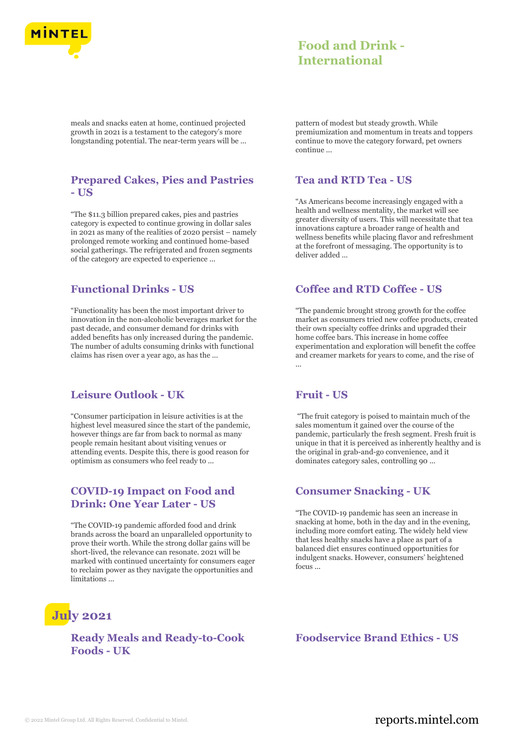

meals and snacks eaten at home, continued projected growth in 2021 is a testament to the category's more longstanding potential. The near-term years will be ...

# **Prepared Cakes, Pies and Pastries - US**

"The \$11.3 billion prepared cakes, pies and pastries category is expected to continue growing in dollar sales in 2021 as many of the realities of 2020 persist – namely prolonged remote working and continued home-based social gatherings. The refrigerated and frozen segments of the category are expected to experience ...

# **Functional Drinks - US**

"Functionality has been the most important driver to innovation in the non-alcoholic beverages market for the past decade, and consumer demand for drinks with added benefits has only increased during the pandemic. The number of adults consuming drinks with functional claims has risen over a year ago, as has the ...

## **Leisure Outlook - UK**

"Consumer participation in leisure activities is at the highest level measured since the start of the pandemic, however things are far from back to normal as many people remain hesitant about visiting venues or attending events. Despite this, there is good reason for optimism as consumers who feel ready to ...

# **COVID-19 Impact on Food and Drink: One Year Later - US**

"The COVID-19 pandemic afforded food and drink brands across the board an unparalleled opportunity to prove their worth. While the strong dollar gains will be short-lived, the relevance can resonate. 2021 will be marked with continued uncertainty for consumers eager to reclaim power as they navigate the opportunities and limitations ...

# **July 2021**

# **Ready Meals and Ready-to-Cook Foods - UK**

pattern of modest but steady growth. While premiumization and momentum in treats and toppers continue to move the category forward, pet owners continue ...

# **Tea and RTD Tea - US**

"As Americans become increasingly engaged with a health and wellness mentality, the market will see greater diversity of users. This will necessitate that tea innovations capture a broader range of health and wellness benefits while placing flavor and refreshment at the forefront of messaging. The opportunity is to deliver added ...

# **Coffee and RTD Coffee - US**

"The pandemic brought strong growth for the coffee market as consumers tried new coffee products, created their own specialty coffee drinks and upgraded their home coffee bars. This increase in home coffee experimentation and exploration will benefit the coffee and creamer markets for years to come, and the rise of ...

### **Fruit - US**

"The fruit category is poised to maintain much of the sales momentum it gained over the course of the pandemic, particularly the fresh segment. Fresh fruit is unique in that it is perceived as inherently healthy and is the original in grab-and-go convenience, and it dominates category sales, controlling 90 ...

## **Consumer Snacking - UK**

"The COVID-19 pandemic has seen an increase in snacking at home, both in the day and in the evening, including more comfort eating. The widely held view that less healthy snacks have a place as part of a balanced diet ensures continued opportunities for indulgent snacks. However, consumers' heightened focus ...

**Foodservice Brand Ethics - US**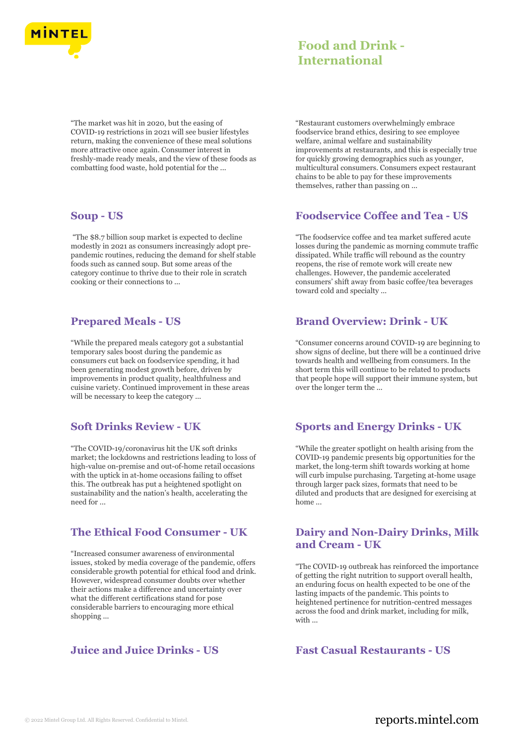

"The market was hit in 2020, but the easing of COVID-19 restrictions in 2021 will see busier lifestyles return, making the convenience of these meal solutions more attractive once again. Consumer interest in freshly-made ready meals, and the view of these foods as combatting food waste, hold potential for the ...

### **Soup - US**

"The \$8.7 billion soup market is expected to decline modestly in 2021 as consumers increasingly adopt prepandemic routines, reducing the demand for shelf stable foods such as canned soup. But some areas of the category continue to thrive due to their role in scratch cooking or their connections to ...

## **Prepared Meals - US**

"While the prepared meals category got a substantial temporary sales boost during the pandemic as consumers cut back on foodservice spending, it had been generating modest growth before, driven by improvements in product quality, healthfulness and cuisine variety. Continued improvement in these areas will be necessary to keep the category ...

# **Soft Drinks Review - UK**

"The COVID-19/coronavirus hit the UK soft drinks market; the lockdowns and restrictions leading to loss of high-value on-premise and out-of-home retail occasions with the uptick in at-home occasions failing to offset this. The outbreak has put a heightened spotlight on sustainability and the nation's health, accelerating the need for ...

## **The Ethical Food Consumer - UK**

"Increased consumer awareness of environmental issues, stoked by media coverage of the pandemic, offers considerable growth potential for ethical food and drink. However, widespread consumer doubts over whether their actions make a difference and uncertainty over what the different certifications stand for pose considerable barriers to encouraging more ethical shopping ...

# **Juice and Juice Drinks - US Fast Casual Restaurants - US**

"Restaurant customers overwhelmingly embrace foodservice brand ethics, desiring to see employee welfare, animal welfare and sustainability improvements at restaurants, and this is especially true for quickly growing demographics such as younger, multicultural consumers. Consumers expect restaurant chains to be able to pay for these improvements themselves, rather than passing on ...

# **Foodservice Coffee and Tea - US**

"The foodservice coffee and tea market suffered acute losses during the pandemic as morning commute traffic dissipated. While traffic will rebound as the country reopens, the rise of remote work will create new challenges. However, the pandemic accelerated consumers' shift away from basic coffee/tea beverages toward cold and specialty ...

# **Brand Overview: Drink - UK**

"Consumer concerns around COVID-19 are beginning to show signs of decline, but there will be a continued drive towards health and wellbeing from consumers. In the short term this will continue to be related to products that people hope will support their immune system, but over the longer term the ...

# **Sports and Energy Drinks - UK**

"While the greater spotlight on health arising from the COVID-19 pandemic presents big opportunities for the market, the long-term shift towards working at home will curb impulse purchasing. Targeting at-home usage through larger pack sizes, formats that need to be diluted and products that are designed for exercising at home ...

## **Dairy and Non-Dairy Drinks, Milk and Cream - UK**

"The COVID-19 outbreak has reinforced the importance of getting the right nutrition to support overall health, an enduring focus on health expected to be one of the lasting impacts of the pandemic. This points to heightened pertinence for nutrition-centred messages across the food and drink market, including for milk, with ...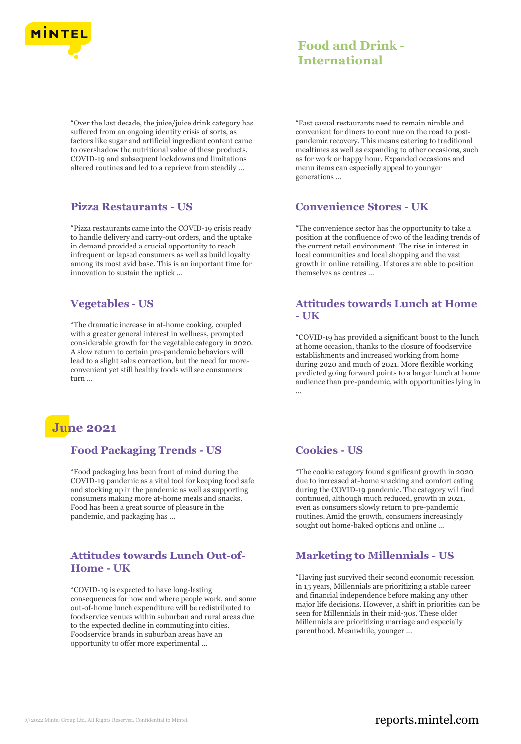

"Over the last decade, the juice/juice drink category has suffered from an ongoing identity crisis of sorts, as factors like sugar and artificial ingredient content came to overshadow the nutritional value of these products. COVID-19 and subsequent lockdowns and limitations altered routines and led to a reprieve from steadily ...

### **Pizza Restaurants - US**

"Pizza restaurants came into the COVID-19 crisis ready to handle delivery and carry-out orders, and the uptake in demand provided a crucial opportunity to reach infrequent or lapsed consumers as well as build loyalty among its most avid base. This is an important time for innovation to sustain the uptick ...

# **Vegetables - US**

"The dramatic increase in at-home cooking, coupled with a greater general interest in wellness, prompted considerable growth for the vegetable category in 2020. A slow return to certain pre-pandemic behaviors will lead to a slight sales correction, but the need for moreconvenient yet still healthy foods will see consumers turn ...

# **June 2021**

# **Food Packaging Trends - US**

"Food packaging has been front of mind during the COVID-19 pandemic as a vital tool for keeping food safe and stocking up in the pandemic as well as supporting consumers making more at-home meals and snacks. Food has been a great source of pleasure in the pandemic, and packaging has ...

# **Attitudes towards Lunch Out-of-Home - UK**

"COVID-19 is expected to have long-lasting consequences for how and where people work, and some out-of-home lunch expenditure will be redistributed to foodservice venues within suburban and rural areas due to the expected decline in commuting into cities. Foodservice brands in suburban areas have an opportunity to offer more experimental ...

"Fast casual restaurants need to remain nimble and convenient for diners to continue on the road to postpandemic recovery. This means catering to traditional mealtimes as well as expanding to other occasions, such as for work or happy hour. Expanded occasions and menu items can especially appeal to younger generations ...

# **Convenience Stores - UK**

"The convenience sector has the opportunity to take a position at the confluence of two of the leading trends of the current retail environment. The rise in interest in local communities and local shopping and the vast growth in online retailing. If stores are able to position themselves as centres ...

# **Attitudes towards Lunch at Home - UK**

"COVID-19 has provided a significant boost to the lunch at home occasion, thanks to the closure of foodservice establishments and increased working from home during 2020 and much of 2021. More flexible working predicted going forward points to a larger lunch at home audience than pre-pandemic, with opportunities lying in ...

# **Cookies - US**

"The cookie category found significant growth in 2020 due to increased at-home snacking and comfort eating during the COVID-19 pandemic. The category will find continued, although much reduced, growth in 2021, even as consumers slowly return to pre-pandemic routines. Amid the growth, consumers increasingly sought out home-baked options and online ...

# **Marketing to Millennials - US**

"Having just survived their second economic recession in 15 years, Millennials are prioritizing a stable career and financial independence before making any other major life decisions. However, a shift in priorities can be seen for Millennials in their mid-30s. These older Millennials are prioritizing marriage and especially parenthood. Meanwhile, younger ...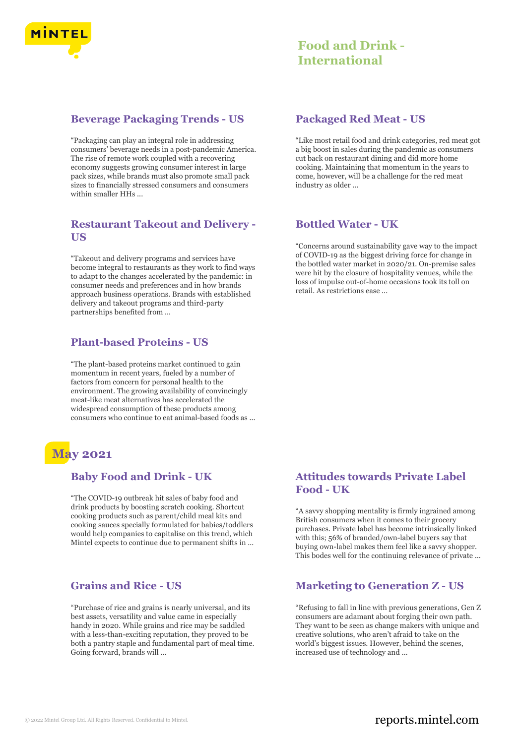

# **Beverage Packaging Trends - US**

"Packaging can play an integral role in addressing consumers' beverage needs in a post-pandemic America. The rise of remote work coupled with a recovering economy suggests growing consumer interest in large pack sizes, while brands must also promote small pack sizes to financially stressed consumers and consumers within smaller HHs ...

## **Restaurant Takeout and Delivery - US**

"Takeout and delivery programs and services have become integral to restaurants as they work to find ways to adapt to the changes accelerated by the pandemic: in consumer needs and preferences and in how brands approach business operations. Brands with established delivery and takeout programs and third-party partnerships benefited from ...

# **Plant-based Proteins - US**

"The plant-based proteins market continued to gain momentum in recent years, fueled by a number of factors from concern for personal health to the environment. The growing availability of convincingly meat-like meat alternatives has accelerated the widespread consumption of these products among consumers who continue to eat animal-based foods as ...

# **May 2021**

## **Baby Food and Drink - UK**

"The COVID-19 outbreak hit sales of baby food and drink products by boosting scratch cooking. Shortcut cooking products such as parent/child meal kits and cooking sauces specially formulated for babies/toddlers would help companies to capitalise on this trend, which Mintel expects to continue due to permanent shifts in ...

## **Grains and Rice - US**

"Purchase of rice and grains is nearly universal, and its best assets, versatility and value came in especially handy in 2020. While grains and rice may be saddled with a less-than-exciting reputation, they proved to be both a pantry staple and fundamental part of meal time. Going forward, brands will ...

# **Packaged Red Meat - US**

"Like most retail food and drink categories, red meat got a big boost in sales during the pandemic as consumers cut back on restaurant dining and did more home cooking. Maintaining that momentum in the years to come, however, will be a challenge for the red meat industry as older ...

## **Bottled Water - UK**

"Concerns around sustainability gave way to the impact of COVID-19 as the biggest driving force for change in the bottled water market in 2020/21. On-premise sales were hit by the closure of hospitality venues, while the loss of impulse out-of-home occasions took its toll on retail. As restrictions ease ...

# **Attitudes towards Private Label Food - UK**

"A savvy shopping mentality is firmly ingrained among British consumers when it comes to their grocery purchases. Private label has become intrinsically linked with this; 56% of branded/own-label buyers say that buying own-label makes them feel like a savvy shopper. This bodes well for the continuing relevance of private ...

# **Marketing to Generation Z - US**

"Refusing to fall in line with previous generations, Gen Z consumers are adamant about forging their own path. They want to be seen as change makers with unique and creative solutions, who aren't afraid to take on the world's biggest issues. However, behind the scenes, increased use of technology and ...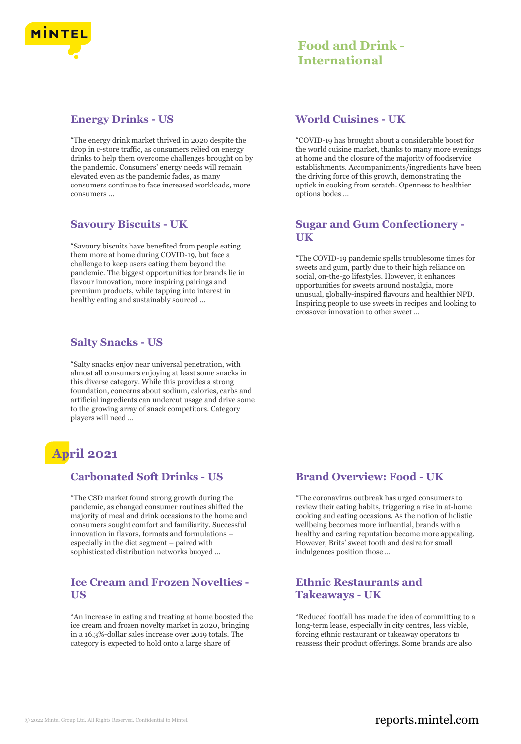

# **Energy Drinks - US**

"The energy drink market thrived in 2020 despite the drop in c-store traffic, as consumers relied on energy drinks to help them overcome challenges brought on by the pandemic. Consumers' energy needs will remain elevated even as the pandemic fades, as many consumers continue to face increased workloads, more consumers ...

# **Savoury Biscuits - UK**

"Savoury biscuits have benefited from people eating them more at home during COVID-19, but face a challenge to keep users eating them beyond the pandemic. The biggest opportunities for brands lie in flavour innovation, more inspiring pairings and premium products, while tapping into interest in healthy eating and sustainably sourced ...

# **Salty Snacks - US**

"Salty snacks enjoy near universal penetration, with almost all consumers enjoying at least some snacks in this diverse category. While this provides a strong foundation, concerns about sodium, calories, carbs and artificial ingredients can undercut usage and drive some to the growing array of snack competitors. Category players will need ...

# **April 2021**

# **Carbonated Soft Drinks - US**

"The CSD market found strong growth during the pandemic, as changed consumer routines shifted the majority of meal and drink occasions to the home and consumers sought comfort and familiarity. Successful innovation in flavors, formats and formulations – especially in the diet segment – paired with sophisticated distribution networks buoyed ...

# **Ice Cream and Frozen Novelties - US**

"An increase in eating and treating at home boosted the ice cream and frozen novelty market in 2020, bringing in a 16.3%-dollar sales increase over 2019 totals. The category is expected to hold onto a large share of

# **World Cuisines - UK**

"COVID-19 has brought about a considerable boost for the world cuisine market, thanks to many more evenings at home and the closure of the majority of foodservice establishments. Accompaniments/ingredients have been the driving force of this growth, demonstrating the uptick in cooking from scratch. Openness to healthier options bodes ...

# **Sugar and Gum Confectionery - UK**

"The COVID-19 pandemic spells troublesome times for sweets and gum, partly due to their high reliance on social, on-the-go lifestyles. However, it enhances opportunities for sweets around nostalgia, more unusual, globally-inspired flavours and healthier NPD. Inspiring people to use sweets in recipes and looking to crossover innovation to other sweet ...

# **Brand Overview: Food - UK**

"The coronavirus outbreak has urged consumers to review their eating habits, triggering a rise in at-home cooking and eating occasions. As the notion of holistic wellbeing becomes more influential, brands with a healthy and caring reputation become more appealing. However, Brits' sweet tooth and desire for small indulgences position those ...

# **Ethnic Restaurants and Takeaways - UK**

"Reduced footfall has made the idea of committing to a long-term lease, especially in city centres, less viable, forcing ethnic restaurant or takeaway operators to reassess their product offerings. Some brands are also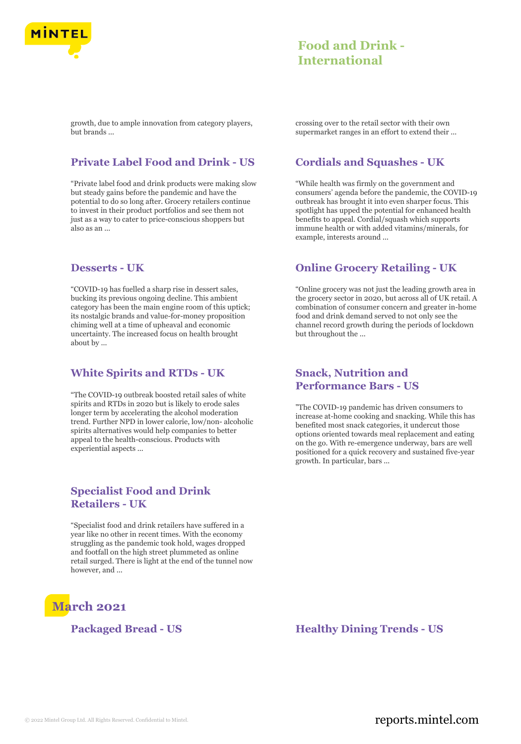

growth, due to ample innovation from category players, but brands ...

# **Private Label Food and Drink - US**

"Private label food and drink products were making slow but steady gains before the pandemic and have the potential to do so long after. Grocery retailers continue to invest in their product portfolios and see them not just as a way to cater to price-conscious shoppers but also as an ...

### **Desserts - UK**

"COVID-19 has fuelled a sharp rise in dessert sales, bucking its previous ongoing decline. This ambient category has been the main engine room of this uptick; its nostalgic brands and value-for-money proposition chiming well at a time of upheaval and economic uncertainty. The increased focus on health brought about by ...

## **White Spirits and RTDs - UK**

"The COVID-19 outbreak boosted retail sales of white spirits and RTDs in 2020 but is likely to erode sales longer term by accelerating the alcohol moderation trend. Further NPD in lower calorie, low/non- alcoholic spirits alternatives would help companies to better appeal to the health-conscious. Products with experiential aspects ...

# **Specialist Food and Drink Retailers - UK**

"Specialist food and drink retailers have suffered in a year like no other in recent times. With the economy struggling as the pandemic took hold, wages dropped and footfall on the high street plummeted as online retail surged. There is light at the end of the tunnel now however, and ...

# **March 2021**

crossing over to the retail sector with their own supermarket ranges in an effort to extend their ...

# **Cordials and Squashes - UK**

"While health was firmly on the government and consumers' agenda before the pandemic, the COVID-19 outbreak has brought it into even sharper focus. This spotlight has upped the potential for enhanced health benefits to appeal. Cordial/squash which supports immune health or with added vitamins/minerals, for example, interests around ...

# **Online Grocery Retailing - UK**

"Online grocery was not just the leading growth area in the grocery sector in 2020, but across all of UK retail. A combination of consumer concern and greater in-home food and drink demand served to not only see the channel record growth during the periods of lockdown but throughout the ...

# **Snack, Nutrition and Performance Bars - US**

"The COVID-19 pandemic has driven consumers to increase at-home cooking and snacking. While this has benefited most snack categories, it undercut those options oriented towards meal replacement and eating on the go. With re-emergence underway, bars are well positioned for a quick recovery and sustained five-year growth. In particular, bars ...

**Packaged Bread - US Healthy Dining Trends - US**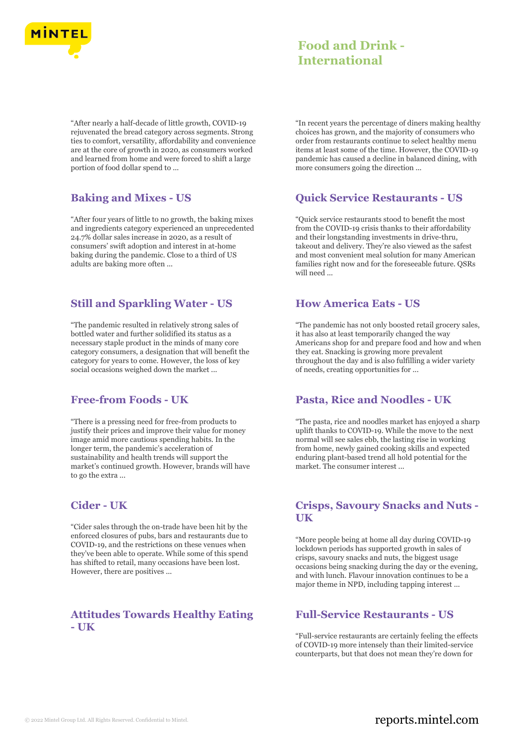

"After nearly a half-decade of little growth, COVID-19 rejuvenated the bread category across segments. Strong ties to comfort, versatility, affordability and convenience are at the core of growth in 2020, as consumers worked and learned from home and were forced to shift a large portion of food dollar spend to ...

# **Baking and Mixes - US**

"After four years of little to no growth, the baking mixes and ingredients category experienced an unprecedented 24.7% dollar sales increase in 2020, as a result of consumers' swift adoption and interest in at-home baking during the pandemic. Close to a third of US adults are baking more often ...

# **Still and Sparkling Water - US**

"The pandemic resulted in relatively strong sales of bottled water and further solidified its status as a necessary staple product in the minds of many core category consumers, a designation that will benefit the category for years to come. However, the loss of key social occasions weighed down the market ...

## **Free-from Foods - UK**

"There is a pressing need for free-from products to justify their prices and improve their value for money image amid more cautious spending habits. In the longer term, the pandemic's acceleration of sustainability and health trends will support the market's continued growth. However, brands will have to go the extra ...

# **Cider - UK**

"Cider sales through the on-trade have been hit by the enforced closures of pubs, bars and restaurants due to COVID-19, and the restrictions on these venues when they've been able to operate. While some of this spend has shifted to retail, many occasions have been lost. However, there are positives ...

# **Attitudes Towards Healthy Eating - UK**

"In recent years the percentage of diners making healthy choices has grown, and the majority of consumers who order from restaurants continue to select healthy menu items at least some of the time. However, the COVID-19 pandemic has caused a decline in balanced dining, with more consumers going the direction ...

## **Quick Service Restaurants - US**

"Quick service restaurants stood to benefit the most from the COVID-19 crisis thanks to their affordability and their longstanding investments in drive-thru, takeout and delivery. They're also viewed as the safest and most convenient meal solution for many American families right now and for the foreseeable future. QSRs will need ...

# **How America Eats - US**

"The pandemic has not only boosted retail grocery sales, it has also at least temporarily changed the way Americans shop for and prepare food and how and when they eat. Snacking is growing more prevalent throughout the day and is also fulfilling a wider variety of needs, creating opportunities for ...

## **Pasta, Rice and Noodles - UK**

"The pasta, rice and noodles market has enjoyed a sharp uplift thanks to COVID-19. While the move to the next normal will see sales ebb, the lasting rise in working from home, newly gained cooking skills and expected enduring plant-based trend all hold potential for the market. The consumer interest ...

# **Crisps, Savoury Snacks and Nuts - UK**

"More people being at home all day during COVID-19 lockdown periods has supported growth in sales of crisps, savoury snacks and nuts, the biggest usage occasions being snacking during the day or the evening, and with lunch. Flavour innovation continues to be a major theme in NPD, including tapping interest ...

## **Full-Service Restaurants - US**

"Full-service restaurants are certainly feeling the effects of COVID-19 more intensely than their limited-service counterparts, but that does not mean they're down for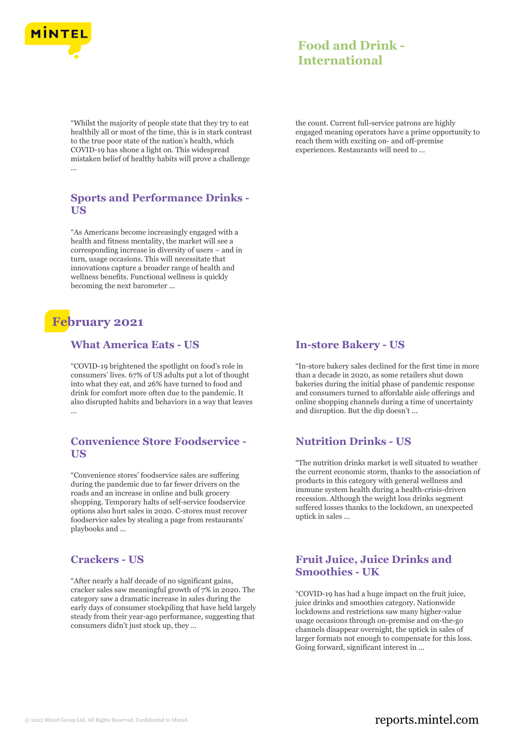

"Whilst the majority of people state that they try to eat healthily all or most of the time, this is in stark contrast to the true poor state of the nation's health, which COVID-19 has shone a light on. This widespread mistaken belief of healthy habits will prove a challenge ...

## **Sports and Performance Drinks - US**

"As Americans become increasingly engaged with a health and fitness mentality, the market will see a corresponding increase in diversity of users – and in turn, usage occasions. This will necessitate that innovations capture a broader range of health and wellness benefits. Functional wellness is quickly becoming the next barometer ...

# **February 2021**

# **What America Eats - US**

"COVID-19 brightened the spotlight on food's role in consumers' lives. 67% of US adults put a lot of thought into what they eat, and 26% have turned to food and drink for comfort more often due to the pandemic. It also disrupted habits and behaviors in a way that leaves ...

# **Convenience Store Foodservice - US**

"Convenience stores' foodservice sales are suffering during the pandemic due to far fewer drivers on the roads and an increase in online and bulk grocery shopping. Temporary halts of self-service foodservice options also hurt sales in 2020. C-stores must recover foodservice sales by stealing a page from restaurants' playbooks and ...

# **Crackers - US**

"After nearly a half decade of no significant gains, cracker sales saw meaningful growth of 7% in 2020. The category saw a dramatic increase in sales during the early days of consumer stockpiling that have held largely steady from their year-ago performance, suggesting that consumers didn't just stock up, they ...

# **Food and Drink - International**

the count. Current full-service patrons are highly engaged meaning operators have a prime opportunity to reach them with exciting on- and off-premise experiences. Restaurants will need to ...

## **In-store Bakery - US**

"In-store bakery sales declined for the first time in more than a decade in 2020, as some retailers shut down bakeries during the initial phase of pandemic response and consumers turned to affordable aisle offerings and online shopping channels during a time of uncertainty and disruption. But the dip doesn't ...

## **Nutrition Drinks - US**

"The nutrition drinks market is well situated to weather the current economic storm, thanks to the association of products in this category with general wellness and immune system health during a health-crisis-driven recession. Although the weight loss drinks segment suffered losses thanks to the lockdown, an unexpected uptick in sales ...

# **Fruit Juice, Juice Drinks and Smoothies - UK**

"COVID-19 has had a huge impact on the fruit juice, juice drinks and smoothies category. Nationwide lockdowns and restrictions saw many higher-value usage occasions through on-premise and on-the-go channels disappear overnight, the uptick in sales of larger formats not enough to compensate for this loss. Going forward, significant interest in ...